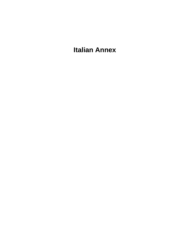**Italian Annex**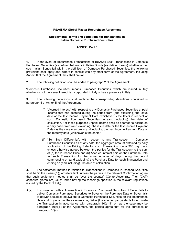### **PSA/ISMA Global Master Repurchase Agreement**

### **Supplemental terms and conditions for transactions in Italian Domestic Purchased Securities**

### **ANNEX I Part 3**

**1.** In the event of Repurchase Transactions or Buy/Sell Back Transactions in Domestic Purchased Securities (as defined below) or in Italian Bonds (as defined below) whether or not such Italian Bonds fall within the definition of Domestic Purchased Securities, the following provisions shall apply and, where in conflict with any other term of the Agreement, including Annex III of the Agreement, they shall prevail.

**2.** The following definition shall be added to paragraph 2 of the Agreement:

"Domestic Purchased Securities" means Purchased Securities, which are issued in Italy whether or not the issuer thereof is incorporated in Italy or has a presence in Italy.

**3.** The following definitions shall replace the corresponding definitions contained in paragraph 4 of Annex III of the Agreement:

- (i) "Accrued Interest", with respect to any Domestic Purchased Securities unpaid Income that has accrued during the period from (and excluding) the issue date or the last Income Payment Date (whichever is the later) in respect of such Domestic Purchased Securities to (and including) the date of calculation. For these purposes unpaid Income shall be deemed to accrue on a daily basis from (and excluding) the issue date or the last Income Payment Date (as the case may be) to and including the next Income Payment Date or the maturity date (whichever is the earlier).
- (ii) "Sell Back Differential", with respect to any Transaction in Domestic Purchased Securities as of any date, the aggregate amount obtained by daily application of the Pricing Rate for such Transaction (on a 360 day basis unless otherwise agreed between the parties for the Transaction) to the sum of (a) the Purchase Price and (b) Accrued Interest paid on the Purchase Date for such Transaction for the actual number of days during the period commencing on (and excluding) the Purchase Date for such Transaction and ending on (and including), the date of calculation.

**4.** The settlement method in relation to Transactions in Domestic Purchased Securities shall be "in the clearing" (giornaliera titoli) unless the parties in the relevant Confirmation agree that such settlement method shall be "over the counter" (Conto Accentrato Titoli (CAT) copertura giornaliera) (such terms having the meanings specified in the relevant regulations issued by the Bank of Italy).

**5.**(a) In connection with a Transaction in Domestic Purchased Securities, if Seller fails to deliver Domestic Purchased Securities to Buyer on the Purchase Date or Buyer fails to deliver Securities equivalent to Domestic Purchased Securities on the Repurchase Date and Buyer or, as the case may be, Seller (the affected party) elects to terminate the Transaction in accordance with paragraph 10(e)(iii) or, as the case may be paragraph 10(f)(iii) of the Agreement, the parties agree that for the purposes of paragraph 10(c):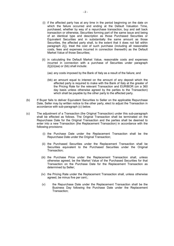- (i) if the affected party has at any time in the period beginning on the date on which the failure occurred and ending at the Default Valuation Time, purchased, whether by way of a repurchase transaction, buy and sell back transaction or otherwise, Securities forming part of the same issue and being of an identical type and description as those Purchased Securities or Equivalent Securities and in substantially the same amount as those Securities, the affected party shall, to the extent that it does not fall within paragraph 2(j), treat the cost of such purchase (including all reasonable costs, fees and expenses incurred in connection therewith) as the Default Market Value of those Securities;
- (ii) in calculating the Default Market Value, reasonable costs and expenses incurred in connection with a purchase of Securities under paragraph 2(j)(ii)(aa) or (bb) shall include:
	- (aa) any costs imposed by the Bank of Italy as a result of the failure; and
	- (bb) an amount equal to interest on the amount of any deposit which the affected party is required to make with the Bank of Italy at the greater of the Pricing Rate for the relevant Transaction and EURIBOR (on a 360 day basis unless otherwise agreed by the parties to the Transaction) which shall be payable by the other party to the affected party.
- (b) If Buyer fails to deliver Equivalent Securities to Seller on the applicable Repurchase Date, Seller may by written notice to the other party, elect to adjust the Transaction in accordance with sub-paragraph (c) below.
- (c) The adjustment of a Transaction (the Original Transaction) under this sub-paragraph shall be effected as follows. The Original Transaction shall be terminated on the Repurchase Date for the Original Transaction and the parties shall be deemed to enter into a new Transaction (the Replacement Transaction) in accordance with the following provisions:
	- (i) the Purchase Date under the Replacement Transaction shall be the Repurchase Date under the Original Transaction;
	- (ii) the Purchased Securities under the Replacement Transaction shall be Securities equivalent to the Purchased Securities under the Original Transaction;
	- (iii) the Purchase Price under the Replacement Transaction shall, unless otherwise agreed, be the Market Value of the Purchased Securities for that Transaction on the Purchase Date for the Replacement Transaction as determined by Seller;
	- (iv) the Pricing Rate under the Replacement Transaction shall, unless otherwise agreed, be minus five per cent.;
	- (v) the Repurchase Date under the Replacement Transaction shall be the Business Day following the Purchase Date under the Replacement Transaction;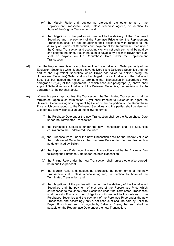- (vi) the Margin Ratio and, subject as aforesaid, the other terms of the Replacement Transaction shall, unless otherwise agreed, be identical to those of the Original Transaction; and
- (vii) the obligations of the parties with respect to the delivery of the Purchased Securities and the payment of the Purchase Price under the Replacement Transaction shall be set off against their obligations with respect to the delivery of Equivalent Securities and payment of the Repurchase Price under the Original Transaction and accordingly only a net cash sum shall be paid by one party to the other. If such net sum is payable by Seller to Buyer, that sum shall be payable on the Repurchase Date under the Replacement Transaction.
- (d) If on the Repurchase Date for any Transaction Buyer delivers to Seller part only of the Equivalent Securities which it should have delivered (the Delivered Securities and the part of the Equivalent Securities which Buyer has failed to deliver being the Undelivered Securities) Seller shall not be obliged to accept delivery of the Delivered Securities but instead may elect to terminate that Transaction in accordance with paragraph 10(f)(iii) of the Agreement, in which case sub-paragraph (a) above shall apply. If Seller does accept delivery of the Delivered Securities, the provisions of subparagraph (e) below shall apply.
- (e) Where this paragraph applies, the Transaction (the Terminated Transaction) shall be terminated. Upon such termination, Buyer shall transfer to Seller or its agent the Delivered Securities against payment by Seller of the proportion of the Repurchase Price which corresponds to the Delivered Securities and the parties shall be deemed to enter into a new Transaction on the following terms:
	- (i) the Purchase Date under the new Transaction shall be the Repurchase Date under the Terminated Transaction;
	- (ii) the Purchased Securities under the new Transaction shall be Securities equivalent to the Undelivered Securities;
	- (iii) the Purchase Price under the new Transaction shall be the Market Value of the Undelivered Securities at the Purchase Date under the new Transaction as determined by Seller;
	- (iv) the Repurchase Date under the new Transaction shall be the Business Day following the Purchase Date under the new Transaction;
	- (v) the Pricing Rate under the new Transaction shall, unless otherwise agreed, be minus five per cent.;
	- (vi) the Margin Ratio and, subject as aforesaid, the other terms of the new Transaction shall, unless otherwise agreed, be identical to those of the Terminated Transaction; and
	- (vii) the obligations of the parties with respect to the delivery of the Undelivered Securities and the payment of that part of the Repurchase Price which corresponds to the Undelivered Securities under the Terminated Transaction shall be set off against their obligations with respect to the delivery of the Purchased Securities and the payment of the Purchase Price under the new Transaction and accordingly only a net cash sum shall be paid by Seller to Buyer. If such net sum is payable by Seller to Buyer, that sum shall be payable on the Repurchase Date under the new Transaction.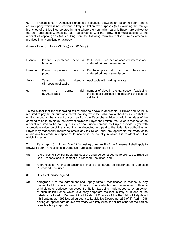**6.** Transactions in Domestic Purchased Securities between an Italian resident and a counter party which is not resident in Italy for Italian tax purposes (but excluding the foreign branches of entities incorporated in Italy) where the non-Italian party is Buyer, are subject to the then applicable withholding tax in accordance with the following formula applied to the amount of capital gains (as resulting from the following formula) realised unless otherwise provided in any applicable tax treaty.

(Pssnt - Pssnp) *x* Awtr *x* (360/gg) *x* (100/Pssnp)

| $Pssnt =$      | Prezzo<br>supersecco<br>termine         | netto<br>a    | Sell Back Price net of accrued interest and<br>matured original issue discount                                |
|----------------|-----------------------------------------|---------------|---------------------------------------------------------------------------------------------------------------|
| $Pssnp =$      | Prezzo<br>supersecco<br>pronti          | netto<br>a    | Purchase price net of accrued interest and<br>matured original issue discount                                 |
| Awtr $=$       | Tasso<br>della<br>d'imposta applicabile | ritenuta      | Applicable withholding tax rate                                                                               |
| gg<br>$\equiv$ | giorni<br>di<br>Buy/Sell Back           | durata<br>del | number of days in the transaction (excluding<br>the date of purchase and including the date of<br>sell back). |

To the extent that the withholding tax referred to above is applicable to Buyer and Seller is required to pay the amount of such withholding tax to the Italian tax authorities, Seller shall be entitled to deduct the amount of such tax from the Repurchase Price or, within ten days of the demand of Seller to make the relevant payment, Buyer shall reimburse Seller in respect of the amount required to be paid by it. Seller shall, upon demand by Buyer, provide Buyer with appropriate evidence of the amount of tax deducted and paid to the Italian tax authorities as Buyer may reasonably require to obtain any tax relief under any applicable tax treaty or to obtain any tax credit in respect of its income in the country in which it is resident or out of which it is acting.

**7.** Paragraphs 3, 4(iii) and 5 to 13 (inclusive) of Annex III of the Agreement shall apply to Buy/Sell Back Transactions in Domestic Purchased Securities as if:

- (a) references to Buy/Sell Back Transactions shall be construed as references to Buy/Sell Back Transactions in Domestic Purchased Securities; and
- (b) references to Purchased Securities shall be construed as references to Domestic Purchased Securities.
- **8.** Unless otherwise agreed:
- (a) paragraph 5 of the Agreement shall apply without modification in respect of any payment of Income in respect of Italian Bonds which could be received without a withholding or deduction on account of Italian tax being made at source by an owner of such Italian Bonds which is a body corporate resident in Italy or in one of the jurisdictions listed in Decree of the Minister of Finance of the Republic of Italy dated 4th September, 1996 issued pursuant to Legislative Decree no. 239 of 1<sup>st</sup> April, 1996 having an appropriate double tax treaty with Italy (whether or not either of the parties is such a body corporate);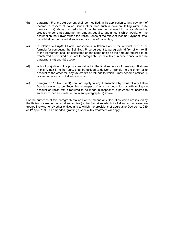- (b) paragraph 5 of the Agreement shall be modified, in its application to any payment of Income in respect of Italian Bonds other than such a payment falling within subparagraph (a) above, by deducting from the amount required to be transferred or credited under that paragraph an amount equal to any amount which would, on the assumption that Buyer owned the Italian Bonds at the relevant Income Payment Date, be withheld or deducted at source on account of Italian tax;
- (c) in relation to Buy/Sell Back Transactions in Italian Bonds, the amount "IR" in the formula for computing the Sell Back Price pursuant to paragraph 4(iii)(y) of Annex III of the Agreement shall be calculated on the same basis as the amount required to be transferred or credited pursuant to paragraph 5 is calculated in accordance with subparagraphs (a) and (b) above;
- (d) without prejudice to the provisions set out in the final sentence of paragraph 6 above in this Annex I, neither party shall be obliged to deliver or transfer to the other, or to account to the other for, any tax credits or refunds to which it may become entitled in respect of Income on Italian Bonds; and
- (e) paragraph 11 (Tax Event) shall not apply to any Transaction by virtue of any Italian Bonds ceasing to be Securities in respect of which a deduction or withholding on account of Italian tax is required to be made in respect of a payment of Income to such an owner as is referred to in sub-paragraph (a) above.

For the purposes of this paragraph "Italian Bonds" means any Securities which are issued by the Italian government or local authorities (or the Securities which for Italian tax purposes are treated likewise) or by other entities and to which the provisions of Legislative Decree no. 239 of 1<sup>st</sup> April, 1996, as amended, granting a special tax treatment will apply.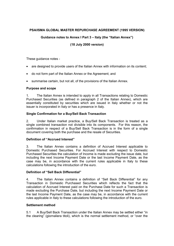# **PSA/ISMA GLOBAL MASTER REPURCHASE AGREEMENT (1995 VERSION)**

# **Guidance notes to Annex I Part 3 – Italy (the "Italian Annex")**

# **(18 July 2000 version)**

These guidance notes -

- are designed to provide users of the Italian Annex with information on its content;
- do not form part of the Italian Annex or the Agreement; and
- summarise certain, but not all, of the provisions of the Italian Annex.

## **Purpose and scope**

1. The Italian Annex is intended to apply in all Transactions relating to Domestic Purchased Securities (as defined in paragraph 2 of the Italian Annex), which are essentially constituted by securities which are issued in Italy whether or not the issuer is incorporated in Italy or has a presence in Italy.

## **Single Confirmation for a Buy/Sell Back Transaction**

2. Under Italian market practice, a Buy/Sell Back Transaction is treated as a single combined transaction not divisible into its components. For this reason, the confirmation in respect of a Buy/Sell Back Transaction is in the form of a single document covering both the purchase and the resale of Securities.

## **Definition of "Accrued Interest"**

3. The Italian Annex contains a definition of Accrued Interest applicable to Domestic Purchased Securities. For Accrued Interest with respect to Domestic Purchased Securities the calculation of Income is made excluding the issue date, but including the next Income Payment Date or the last Income Payment Date, as the case may be, in accordance with the current rules applicable in Italy to these calculations following the introduction of the euro.

## **Definition of "Sell Back Differential"**

4. The Italian Annex contains a definition of "Sell Back Differential" for any Transaction in Domestic Purchased Securities which reflects the fact that the calculation of Accrued Interest paid on the Purchase Date for such a Transaction is made excluding the Purchase Date, but including the next Income Payment Date or the last Income Payment Date, as the case may be, in accordance with the current rules applicable in Italy to these calculations following the introduction of the euro.

## **Settlement method**

5.1 A Buy/Sell Back Transaction under the Italian Annex may be settled either "in the clearing" (giornaliera titoli), which is the normal settlement method, or "over the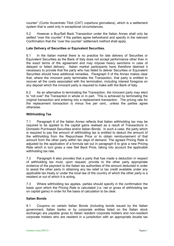counter" (Conto Accentrato Titoli (CAT) copertura giornaliera), which is a settlement system that is used only in exceptional circumstances.

5.2 However a Buy/Sell Back Transaction under the Italian Annex shall only be settled "over the counter" if the parties agree beforehand and specify in the relevant Confirmation that the "over the counter" settlement method shall apply.

## **Late Delivery of Securities or Equivalent Securities.**

6.1 In the Italian market there is no practice for late delivery of Securities or Equivalent Securities as the Bank of Italy does not accept performance other than in the exact terms of the agreement and may impose heavy sanctions in case of delayed or failed delivery. Italian market participants have therefore deemed it necessary to provide that the party who has failed to deliver Securities or Equivalent Securities should have additional remedies. Paragraph 5 of the Annex makes clear that, where the innocent party terminates the Transaction, that party is entitled to recover all the costs associated with the termination, including interest foregone on any deposit which the innocent party is required to make with the Bank of Italy.

6.2 As an alternative to terminating the Transaction, the innocent party may elect to "roll over" the Transaction in whole or in part. This is achieved by terminating the original transaction and entering into a replacement transaction. The pricing rate for the replacement transaction is minus five per cent., unless the parties agree otherwise.

## **Withholding Tax**

7.1 Paragraph 6 of the Italian Annex reflects that Italian withholding tax may be required to be applied to the capital gains realised as a result of Transactions in Domestic Purchased Securities and/or Italian Bonds. In such a case, the party which is required to pay the amount of withholding tax is entitled to deduct the amount of the withholding from the Repurchase Price or to obtain reimbursement of that amount from the other party within ten days of demand. The agreed Pricing Rate is adjusted by the application of a formula set out in paragraph 6 to give a new Pricing Rate which in turn gives a new Sell Back Price, taking into account the applicable withholding tax rate.

7.2 Paragraph 6 also provides that a party that has made a deduction in respect of withholding tax must, upon request, provide to the other party appropriate evidence of the payment to the Italian tax authorities of the amount deducted in order to assist the other party in obtaining any tax relief or tax credit available under any applicable tax treaty or under the local law of the country of which the other party is a resident or out of which it is acting.

7.3 Where withholding tax applies, parties should specify in the confirmation the basis upon which the Pricing Rate is calculated (i.e. net or gross of withholding tax on capital gains) in order for the basis of calculation to be clear.

## **Italian Bonds**

8.1 Coupons on certain Italian Bonds (including bonds issued by the Italian government, Italian banks or by corporate entities listed on the Italian stock exchange) are payable gross to Italian resident corporate holders and non-resident corporate holders who are resident in a jurisdiction with an appropriate double tax